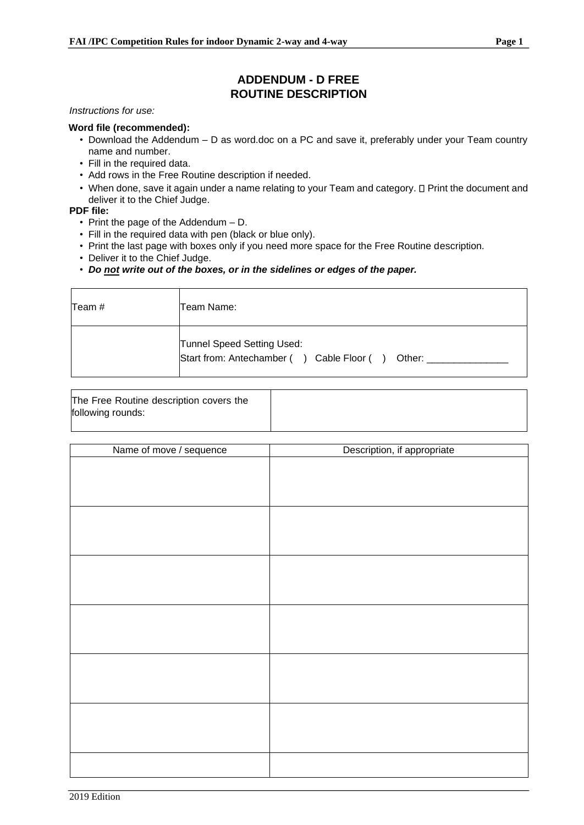## **ADDENDUM - D FREE ROUTINE DESCRIPTION**

*Instructions for use:*

## **Word file (recommended):**

- Download the Addendum D as word.doc on a PC and save it, preferably under your Team country name and number.
- Fill in the required data.
- Add rows in the Free Routine description if needed.
- When done, save it again under a name relating to your Team and category. I Print the document and deliver it to the Chief Judge.

## **PDF file:**

- Print the page of the Addendum D.
- Fill in the required data with pen (black or blue only).
- Print the last page with boxes only if you need more space for the Free Routine description.
- Deliver it to the Chief Judge.
- *Do not write out of the boxes, or in the sidelines or edges of the paper.*

| Team # | Team Name: I                                                                   |
|--------|--------------------------------------------------------------------------------|
|        | Tunnel Speed Setting Used:<br>Start from: Antechamber () Cable Floor () Other: |

| The Free Routine description covers the |  |
|-----------------------------------------|--|
| following rounds:                       |  |

| Name of move / sequence | Description, if appropriate |
|-------------------------|-----------------------------|
|                         |                             |
|                         |                             |
|                         |                             |
|                         |                             |
|                         |                             |
|                         |                             |
|                         |                             |
|                         |                             |
|                         |                             |
|                         |                             |
|                         |                             |
|                         |                             |
|                         |                             |
|                         |                             |
|                         |                             |
|                         |                             |
|                         |                             |
|                         |                             |
|                         |                             |
|                         |                             |
|                         |                             |
|                         |                             |
|                         |                             |